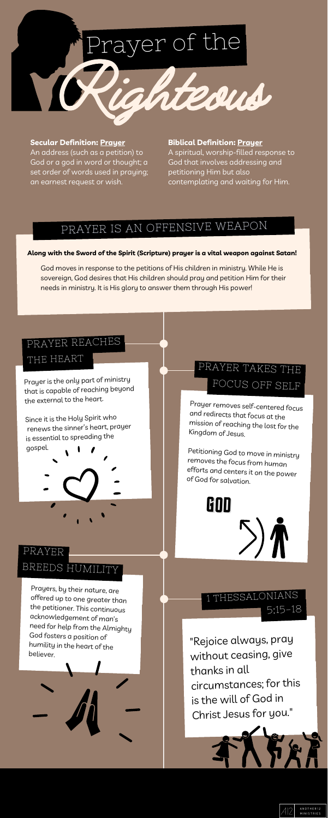## PRAYER IS AN OFFENSIVE WEAPON

"Rejoice always, pray without ceasing, give thanks in all circumstances; for this is the will of God in Christ Jesus for you."







Prayers, by their nature, are offered up to one greater than the petitioner. This continuous acknowledgement of man's need for help from the Almighty God fosters <sup>a</sup> position of humility in the heart of the believer.

Prayer removes self-centered focus and redirects that focus at the mission of reaching the lost for the Kingdom of Jesus.

Petitioning God to move in ministry removes the focus from human efforts and centers it on the power of God for salvation.

#### **Along with the Sword of the Spirit (Scripture) prayer is a vital weapon against Satan!**

God moves in response to the petitions of His children in ministry. While He is sovereign, God desires that His children should pray and petition Him for their needs in ministry. It is His glory to answer them through His power!

## PRAYER BREEDS HUMILITY

## 1 THESSALONIANS 5:15-18

Prayer is the only part of ministry that is capable of reaching beyond the external to the heart.

Since it is the Holy Spirit who renews the sinner's heart, prayer is essential to spreading the gospel.

#### **Biblical Definition: Prayer**

A spiritual, worship-filled response to God that involves addressing and petitioning Him but also contemplating and waiting for Him.

#### **Secular Definition: Prayer**

An address (such as a petition) to God or a god in word or thought; a set order of words used in praying; an earnest request or wish.

## PRAYER REACHES

PRAYER TAKES THE FOCUS OFF SELF

### THE HEART

## GOD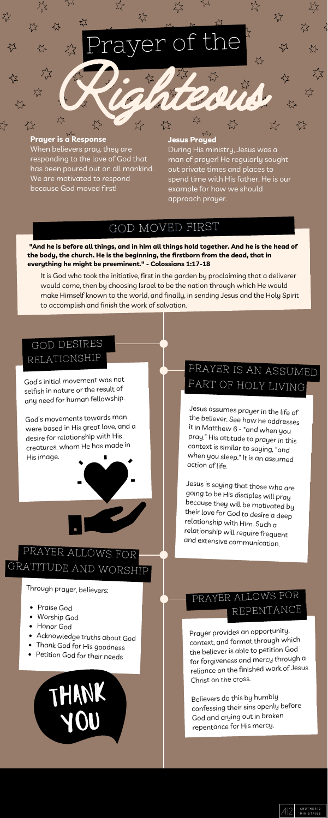## GOD MOVED FIRST

Prayer provides an opportunity, context, and format through which the believer is able to petition God for forgiveness and mercy through <sup>a</sup> reliance on the finished work of Jesus Christ on the cross.

Believers do this by humbly confessing their sins openly before God and crying out in broken repentance for His mercy.



- Praise God
- Worship God
- Honor God
- Acknowledge truths about God
- Thank God for His goodness
- Petition God for their needs

THANK

Through prayer, believers:

Jesus assumes prayer in the life of the believer. See how he addresses it in Matthew 6 - "and when you pray." His attitude to prayer in this context is similar to saying, "and when you sleep." It is an assumed action of life.

Jesus is saying that those who are going to be His disciples will pray because they will be motivated by their love for God to desire <sup>a</sup> deep relationship with Him. Such <sup>a</sup> relationship will require frequent and extensive communication.

**"And he is before all things, and in him all things hold together. And he is the head of the body, the church. He is the beginning, the firstborn from the dead, that in everything he might be preeminent." - Colossians 1:17-18**

## PRAYER ALLOWS FOR GRATITUDE AND WORSHIP

## PRAYER ALLOWS FOR REPENTANCE

It is God who took the initiative, first in the garden by proclaiming that a deliverer would come, then by choosing Israel to be the nation through which He would make Himself known to the world, and finally, in sending Jesus and the Holy Spirit to accomplish and finish the work of salvation.

God's initial movement was not selfish in nature or the result of any need for human fellowship.

God's movements towards man were based in His grea<sup>t</sup> love, and <sup>a</sup> desire for relationship with His creatures, whom He has made in His image.



#### **Jesus Prayed**

During His ministry, Jesus was a man of prayer! He regularly sought out private times and places to spend time with His father. He is our example for how we should approach prayer.

# er of the Rightedu &

#### **Prayer is a Response**

When believers pray, they are responding to the love of God that has been poured out on all mankind. We are motivated to respond because God moved first!

## GOD DESIRES RELATIONSHIP

## PRAYER IS AN ASSUMED PART OF HOLY LIVING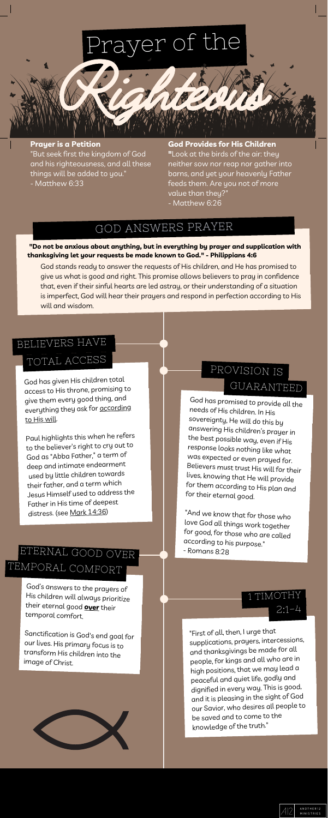## GOD ANSWERS PRAYER

# Prayer of the Righted Street, 1987

"First of all, then, <sup>I</sup> urge that supplications, prayers, intercessions, and thanksgivings be made for all people, for kings and all who are in high positions, that we may lead <sup>a</sup> peaceful and quiet life, godly and dignified in every way. This is good, and it is pleasing in the sight of God our Savior, who desires all people to be saved and to come to the knowledge of the truth."



## 1 TIMOTHY  $2:1 - 4$

God's answers to the prayers of His children will always prioritize their eternal good **over** their temporal comfort.

Sanctification is God's end goal for our lives. His primary focus is to transform His children into the image of Christ.



God has promised to provide all the needs of His children. In His sovereignty, He will do this by answering His children's prayer in the best possible way, even if His response looks nothing like what was expected or even prayed for. Believers must trust His will for their lives, knowing that He will provide for them according to His plan and for their eternal good.

"And we know that for those who love God all things work together for good, for those who are called according to his purpose." - Romans 8:28

#### **"Do not be anxious about anything, but in everything by prayer and supplication with thanksgiving let your requests be made known to God." - Philippians 4:6**

God stands ready to answer the requests of His children, and He has promised to give us what is good and right. This promise allows believers to pray in confidence that, even if their sinful hearts are led astray, or their understanding of a situation is imperfect, God will hear their prayers and respond in perfection according to His will and wisdom.

## ETERNAL GOOD OVER TEMPORAL COMFORT

God has <sup>g</sup>iven His children total access to His throne, promising to <sup>g</sup>ive them every goo<sup>d</sup> thing, and everything they ask for according to His will.

Paul highlights this when he refers to the believer's right to cry out to God as "Abba Father," <sup>a</sup> term of deep and intimate endearment used by little children towards their father, and <sup>a</sup> term which Jesus Himself used to address the Father in His time of deepest distress. (see Mark [14:36\)](https://www.biblegateway.com/passage/?search=Mark+14%3A36&version=ESV)

**God Provides for His Children "**Look at the birds of the air: they neither sow nor reap nor gather into barns, and yet your heavenly Father feeds them. Are you not of more value than they?" - Matthew 6:26

#### **Prayer is a Petition**

"But seek first the kingdom of God and his righteousness, and all these things will be added to you." - Matthew 6:33

## BELIEVERS HAVE

## PROVISION IS GUARANTEED

## TOTAL ACCESS